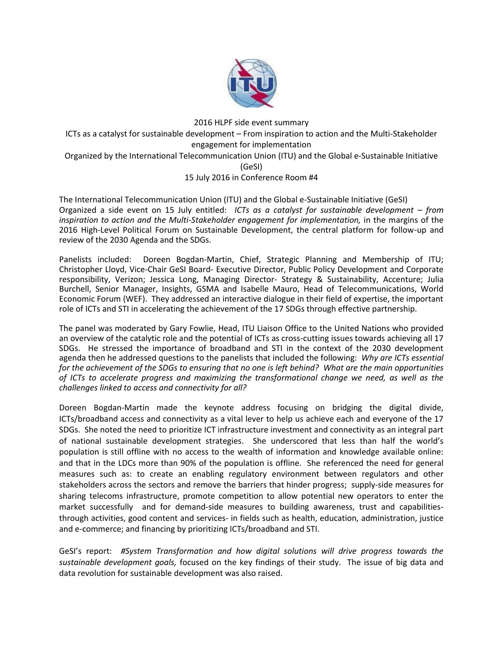

2016 HLPF side event summary ICTs as a catalyst for sustainable development – From inspiration to action and the Multi-Stakeholder engagement for implementation Organized by the International Telecommunication Union (ITU) and the Global e-Sustainable Initiative (GeSI) 15 July 2016 in Conference Room #4

The International Telecommunication Union (ITU) and the Global e-Sustainable Initiative (GeSI) Organized a side event on 15 July entitled: *ICTs as a catalyst for sustainable development – from inspiration to action and the Multi-Stakeholder engagement for implementation,* in the margins of the 2016 High-Level Political Forum on Sustainable Development, the central platform for follow-up and review of the 2030 Agenda and the SDGs.

Panelists included: Doreen Bogdan-Martin, Chief, Strategic Planning and Membership of ITU; Christopher Lloyd, Vice-Chair GeSI Board- Executive Director, Public Policy Development and Corporate responsibility, Verizon; Jessica Long, Managing Director- Strategy & Sustainability, Accenture; Julia Burchell, Senior Manager, Insights, GSMA and Isabelle Mauro, Head of Telecommunications, World Economic Forum (WEF). They addressed an interactive dialogue in their field of expertise, the important role of ICTs and STI in accelerating the achievement of the 17 SDGs through effective partnership.

The panel was moderated by Gary Fowlie, Head, ITU Liaison Office to the United Nations who provided an overview of the catalytic role and the potential of ICTs as cross-cutting issues towards achieving all 17 SDGs. He stressed the importance of broadband and STI in the context of the 2030 development agenda then he addressed questions to the panelists that included the following: *Why are ICTs essential for the achievement of the SDGs to ensuring that no one is left behind? What are the main opportunities of ICTs to accelerate progress and maximizing the transformational change we need, as well as the challenges linked to access and connectivity for all?*

Doreen Bogdan-Martin made the keynote address focusing on bridging the digital divide, ICTs/broadband access and connectivity as a vital lever to help us achieve each and everyone of the 17 SDGs. She noted the need to prioritize ICT infrastructure investment and connectivity as an integral part of national sustainable development strategies. She underscored that less than half the world's population is still offline with no access to the wealth of information and knowledge available online: and that in the LDCs more than 90% of the population is offline. She referenced the need for general measures such as: to create an enabling regulatory environment between regulators and other stakeholders across the sectors and remove the barriers that hinder progress; supply-side measures for sharing telecoms infrastructure, promote competition to allow potential new operators to enter the market successfully and for demand-side measures to building awareness, trust and capabilitiesthrough activities, good content and services- in fields such as health, education, administration, justice and e-commerce; and financing by prioritizing ICTs/broadband and STI.

GeSI's report: *#System Transformation and how digital solutions will drive progress towards the sustainable development goals,* focused on the key findings of their study. The issue of big data and data revolution for sustainable development was also raised.